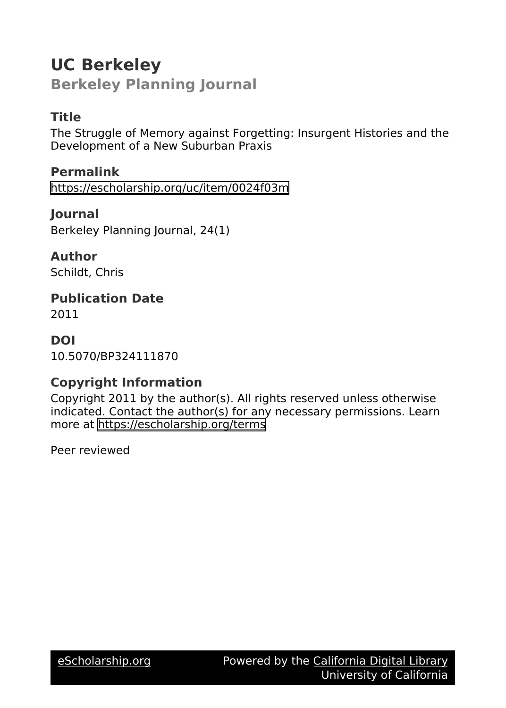# **UC Berkeley**

**Berkeley Planning Journal**

## **Title**

The Struggle of Memory against Forgetting: Insurgent Histories and the Development of a New Suburban Praxis

**Permalink** <https://escholarship.org/uc/item/0024f03m>

**Journal** Berkeley Planning Journal, 24(1)

**Author** Schildt, Chris

**Publication Date** 2011

**DOI**

10.5070/BP324111870

## **Copyright Information**

Copyright 2011 by the author(s). All rights reserved unless otherwise indicated. Contact the author(s) for any necessary permissions. Learn more at <https://escholarship.org/terms>

Peer reviewed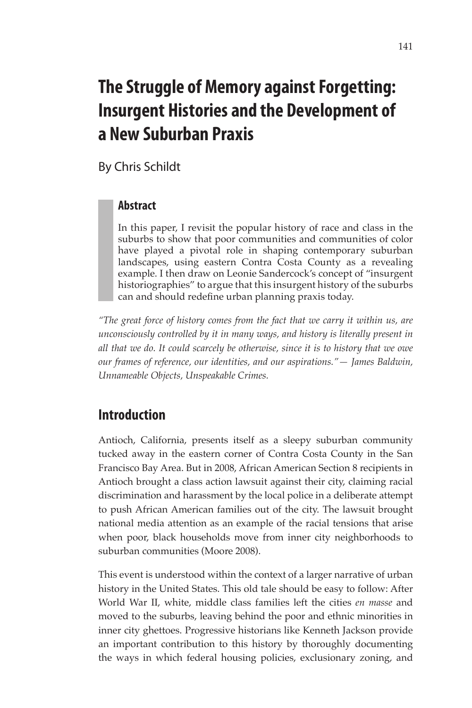## **The Struggle of Memory against Forgetting: Insurgent Histories and the Development of a New Suburban Praxis**

By Chris Schildt

#### **Abstract**

In this paper, I revisit the popular history of race and class in the suburbs to show that poor communities and communities of color have played a pivotal role in shaping contemporary suburban landscapes, using eastern Contra Costa County as a revealing example. I then draw on Leonie Sandercock's concept of "insurgent historiographies" to argue that this insurgent history of the suburbs can and should redefine urban planning praxis today.

*"The great force of history comes from the fact that we carry it within us, are unconsciously controlled by it in many ways, and history is literally present in all that we do. It could scarcely be otherwise, since it is to history that we owe our frames of reference, our identities, and our aspirations."— James Baldwin, Unnameable Objects, Unspeakable Crimes.*

#### **Introduction**

Antioch, California, presents itself as a sleepy suburban community tucked away in the eastern corner of Contra Costa County in the San Francisco Bay Area. But in 2008, African American Section 8 recipients in Antioch brought a class action lawsuit against their city, claiming racial discrimination and harassment by the local police in a deliberate attempt to push African American families out of the city. The lawsuit brought national media attention as an example of the racial tensions that arise when poor, black households move from inner city neighborhoods to suburban communities (Moore 2008).

This event is understood within the context of a larger narrative of urban history in the United States. This old tale should be easy to follow: After World War II, white, middle class families left the cities *en masse* and moved to the suburbs, leaving behind the poor and ethnic minorities in inner city ghettoes. Progressive historians like Kenneth Jackson provide an important contribution to this history by thoroughly documenting the ways in which federal housing policies, exclusionary zoning, and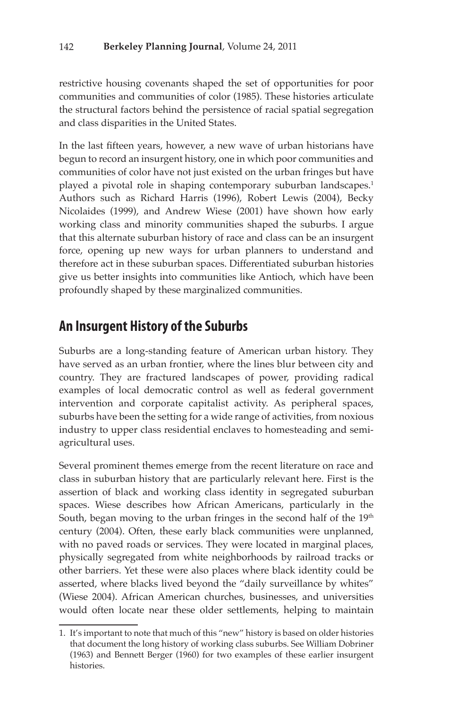restrictive housing covenants shaped the set of opportunities for poor communities and communities of color (1985). These histories articulate the structural factors behind the persistence of racial spatial segregation and class disparities in the United States.

In the last fifteen years, however, a new wave of urban historians have begun to record an insurgent history, one in which poor communities and communities of color have not just existed on the urban fringes but have played a pivotal role in shaping contemporary suburban landscapes.<sup>1</sup> Authors such as Richard Harris (1996), Robert Lewis (2004), Becky Nicolaides (1999), and Andrew Wiese (2001) have shown how early working class and minority communities shaped the suburbs. I argue that this alternate suburban history of race and class can be an insurgent force, opening up new ways for urban planners to understand and therefore act in these suburban spaces. Differentiated suburban histories give us better insights into communities like Antioch, which have been profoundly shaped by these marginalized communities.

### **An Insurgent History of the Suburbs**

Suburbs are a long-standing feature of American urban history. They have served as an urban frontier, where the lines blur between city and country. They are fractured landscapes of power, providing radical examples of local democratic control as well as federal government intervention and corporate capitalist activity. As peripheral spaces, suburbs have been the setting for a wide range of activities, from noxious industry to upper class residential enclaves to homesteading and semiagricultural uses.

Several prominent themes emerge from the recent literature on race and class in suburban history that are particularly relevant here. First is the assertion of black and working class identity in segregated suburban spaces. Wiese describes how African Americans, particularly in the South, began moving to the urban fringes in the second half of the 19<sup>th</sup> century (2004). Often, these early black communities were unplanned, with no paved roads or services. They were located in marginal places, physically segregated from white neighborhoods by railroad tracks or other barriers. Yet these were also places where black identity could be asserted, where blacks lived beyond the "daily surveillance by whites" (Wiese 2004). African American churches, businesses, and universities would often locate near these older settlements, helping to maintain

<sup>1.</sup> It's important to note that much of this "new" history is based on older histories that document the long history of working class suburbs. See William Dobriner (1963) and Bennett Berger (1960) for two examples of these earlier insurgent histories.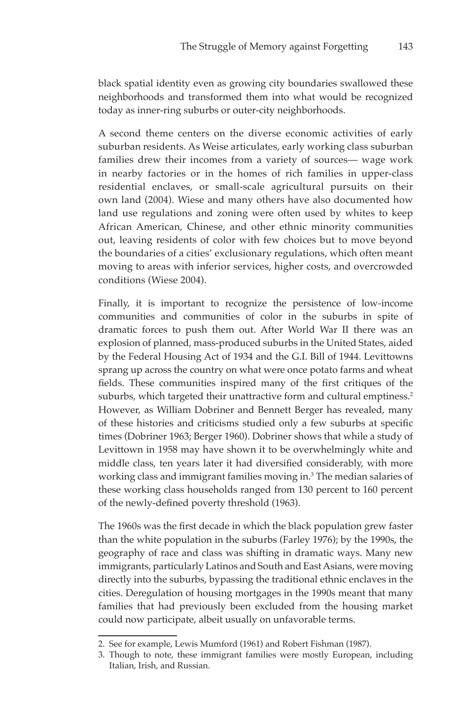black spatial identity even as growing city boundaries swallowed these neighborhoods and transformed them into what would be recognized today as inner-ring suburbs or outer-city neighborhoods.

A second theme centers on the diverse economic activities of early suburban residents. As Weise articulates, early working class suburban families drew their incomes from a variety of sources— wage work in nearby factories or in the homes of rich families in upper-class residential enclaves, or small-scale agricultural pursuits on their own land (2004). Wiese and many others have also documented how land use regulations and zoning were often used by whites to keep African American, Chinese, and other ethnic minority communities out, leaving residents of color with few choices but to move beyond the boundaries of a cities' exclusionary regulations, which often meant moving to areas with inferior services, higher costs, and overcrowded conditions (Wiese 2004).

Finally, it is important to recognize the persistence of low-income communities and communities of color in the suburbs in spite of dramatic forces to push them out. After World War II there was an explosion of planned, mass-produced suburbs in the United States, aided by the Federal Housing Act of 1934 and the G.I. Bill of 1944. Levittowns sprang up across the country on what were once potato farms and wheat fields. These communities inspired many of the first critiques of the suburbs, which targeted their unattractive form and cultural emptiness.<sup>2</sup> However, as William Dobriner and Bennett Berger has revealed, many of these histories and criticisms studied only a few suburbs at specific times (Dobriner 1963; Berger 1960). Dobriner shows that while a study of Levittown in 1958 may have shown it to be overwhelmingly white and middle class, ten years later it had diversified considerably, with more working class and immigrant families moving in.3 The median salaries of these working class households ranged from 130 percent to 160 percent of the newly-defined poverty threshold (1963).

The 1960s was the first decade in which the black population grew faster than the white population in the suburbs (Farley 1976); by the 1990s, the geography of race and class was shifting in dramatic ways. Many new immigrants, particularly Latinos and South and East Asians, were moving directly into the suburbs, bypassing the traditional ethnic enclaves in the cities. Deregulation of housing mortgages in the 1990s meant that many families that had previously been excluded from the housing market could now participate, albeit usually on unfavorable terms.

<sup>2.</sup> See for example, Lewis Mumford (1961) and Robert Fishman (1987).

<sup>3.</sup> Though to note, these immigrant families were mostly European, including Italian, Irish, and Russian.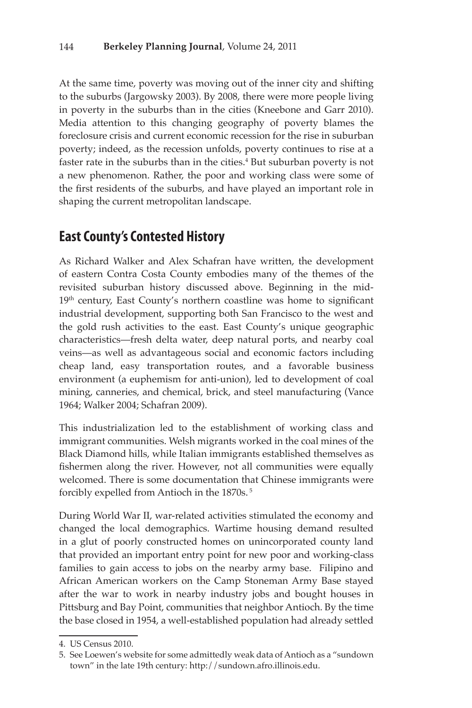At the same time, poverty was moving out of the inner city and shifting to the suburbs (Jargowsky 2003). By 2008, there were more people living in poverty in the suburbs than in the cities (Kneebone and Garr 2010). Media attention to this changing geography of poverty blames the foreclosure crisis and current economic recession for the rise in suburban poverty; indeed, as the recession unfolds, poverty continues to rise at a faster rate in the suburbs than in the cities.<sup>4</sup> But suburban poverty is not a new phenomenon. Rather, the poor and working class were some of the first residents of the suburbs, and have played an important role in shaping the current metropolitan landscape.

### **East County's Contested History**

As Richard Walker and Alex Schafran have written, the development of eastern Contra Costa County embodies many of the themes of the revisited suburban history discussed above. Beginning in the mid-19<sup>th</sup> century, East County's northern coastline was home to significant industrial development, supporting both San Francisco to the west and the gold rush activities to the east. East County's unique geographic characteristics—fresh delta water, deep natural ports, and nearby coal veins—as well as advantageous social and economic factors including cheap land, easy transportation routes, and a favorable business environment (a euphemism for anti-union), led to development of coal mining, canneries, and chemical, brick, and steel manufacturing (Vance 1964; Walker 2004; Schafran 2009).

This industrialization led to the establishment of working class and immigrant communities. Welsh migrants worked in the coal mines of the Black Diamond hills, while Italian immigrants established themselves as fishermen along the river. However, not all communities were equally welcomed. There is some documentation that Chinese immigrants were forcibly expelled from Antioch in the 1870s. 5

During World War II, war-related activities stimulated the economy and changed the local demographics. Wartime housing demand resulted in a glut of poorly constructed homes on unincorporated county land that provided an important entry point for new poor and working-class families to gain access to jobs on the nearby army base. Filipino and African American workers on the Camp Stoneman Army Base stayed after the war to work in nearby industry jobs and bought houses in Pittsburg and Bay Point, communities that neighbor Antioch. By the time the base closed in 1954, a well-established population had already settled

<sup>4.</sup> US Census 2010.

<sup>5.</sup> See Loewen's website for some admittedly weak data of Antioch as a "sundown town" in the late 19th century: http://sundown.afro.illinois.edu.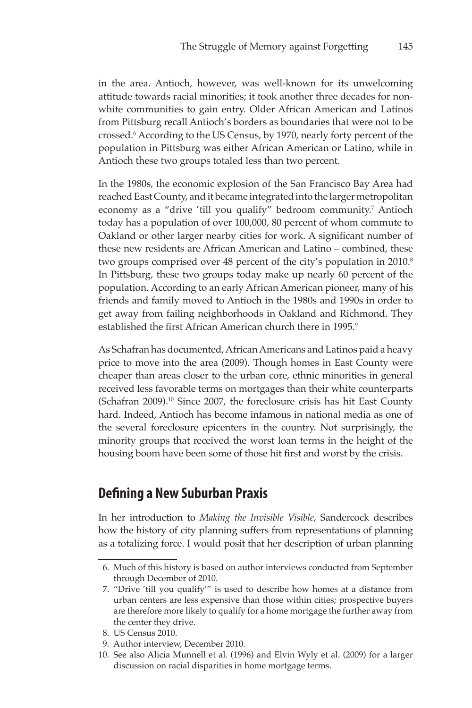in the area. Antioch, however, was well-known for its unwelcoming attitude towards racial minorities; it took another three decades for nonwhite communities to gain entry. Older African American and Latinos from Pittsburg recall Antioch's borders as boundaries that were not to be crossed.6 According to the US Census, by 1970, nearly forty percent of the population in Pittsburg was either African American or Latino, while in Antioch these two groups totaled less than two percent.

In the 1980s, the economic explosion of the San Francisco Bay Area had reached East County, and it became integrated into the larger metropolitan economy as a "drive 'till you qualify" bedroom community.7 Antioch today has a population of over 100,000, 80 percent of whom commute to Oakland or other larger nearby cities for work. A significant number of these new residents are African American and Latino – combined, these two groups comprised over 48 percent of the city's population in 2010.<sup>8</sup> In Pittsburg, these two groups today make up nearly 60 percent of the population. According to an early African American pioneer, many of his friends and family moved to Antioch in the 1980s and 1990s in order to get away from failing neighborhoods in Oakland and Richmond. They established the first African American church there in 1995.<sup>9</sup>

As Schafran has documented, African Americans and Latinos paid a heavy price to move into the area (2009). Though homes in East County were cheaper than areas closer to the urban core, ethnic minorities in general received less favorable terms on mortgages than their white counterparts (Schafran 2009).10 Since 2007, the foreclosure crisis has hit East County hard. Indeed, Antioch has become infamous in national media as one of the several foreclosure epicenters in the country. Not surprisingly, the minority groups that received the worst loan terms in the height of the housing boom have been some of those hit first and worst by the crisis.

#### **Defining a New Suburban Praxis**

In her introduction to *Making the Invisible Visible*, Sandercock describes how the history of city planning suffers from representations of planning as a totalizing force. I would posit that her description of urban planning

8. US Census 2010.

 <sup>6.</sup> Much of this history is based on author interviews conducted from September through December of 2010.

 <sup>7. &</sup>quot;Drive 'till you qualify'" is used to describe how homes at a distance from urban centers are less expensive than those within cities; prospective buyers are therefore more likely to qualify for a home mortgage the further away from the center they drive.

 <sup>9.</sup> Author interview, December 2010.

<sup>10.</sup> See also Alicia Munnell et al. (1996) and Elvin Wyly et al. (2009) for a larger discussion on racial disparities in home mortgage terms.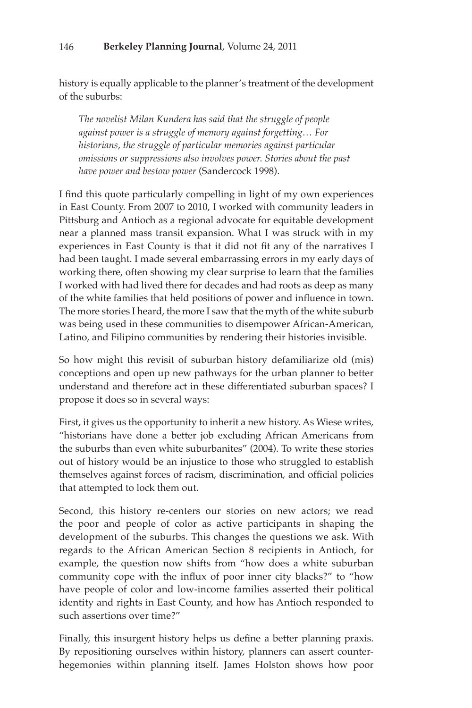history is equally applicable to the planner's treatment of the development of the suburbs:

*The novelist Milan Kundera has said that the struggle of people against power is a struggle of memory against forgetting… For historians, the struggle of particular memories against particular omissions or suppressions also involves power. Stories about the past have power and bestow power* (Sandercock 1998).

I find this quote particularly compelling in light of my own experiences in East County. From 2007 to 2010, I worked with community leaders in Pittsburg and Antioch as a regional advocate for equitable development near a planned mass transit expansion. What I was struck with in my experiences in East County is that it did not fit any of the narratives I had been taught. I made several embarrassing errors in my early days of working there, often showing my clear surprise to learn that the families I worked with had lived there for decades and had roots as deep as many of the white families that held positions of power and influence in town. The more stories I heard, the more I saw that the myth of the white suburb was being used in these communities to disempower African-American, Latino, and Filipino communities by rendering their histories invisible.

So how might this revisit of suburban history defamiliarize old (mis) conceptions and open up new pathways for the urban planner to better understand and therefore act in these differentiated suburban spaces? I propose it does so in several ways:

First, it gives us the opportunity to inherit a new history. As Wiese writes, "historians have done a better job excluding African Americans from the suburbs than even white suburbanites" (2004). To write these stories out of history would be an injustice to those who struggled to establish themselves against forces of racism, discrimination, and official policies that attempted to lock them out.

Second, this history re-centers our stories on new actors; we read the poor and people of color as active participants in shaping the development of the suburbs. This changes the questions we ask. With regards to the African American Section 8 recipients in Antioch, for example, the question now shifts from "how does a white suburban community cope with the influx of poor inner city blacks?" to "how have people of color and low-income families asserted their political identity and rights in East County, and how has Antioch responded to such assertions over time?"

Finally, this insurgent history helps us define a better planning praxis. By repositioning ourselves within history, planners can assert counterhegemonies within planning itself. James Holston shows how poor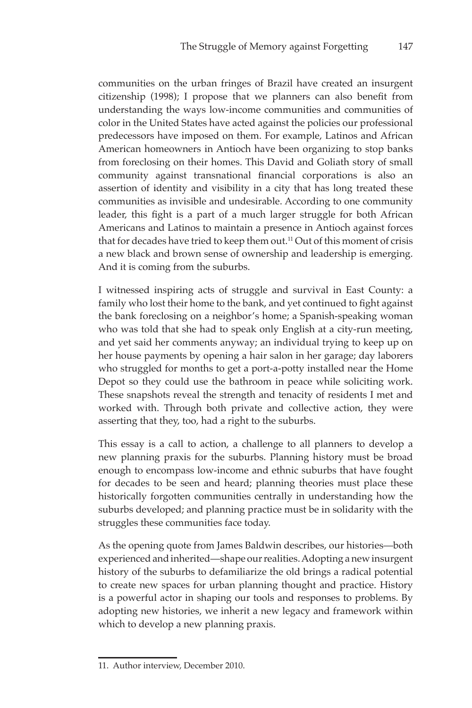communities on the urban fringes of Brazil have created an insurgent citizenship (1998); I propose that we planners can also benefit from understanding the ways low-income communities and communities of color in the United States have acted against the policies our professional predecessors have imposed on them. For example, Latinos and African American homeowners in Antioch have been organizing to stop banks from foreclosing on their homes. This David and Goliath story of small community against transnational financial corporations is also an assertion of identity and visibility in a city that has long treated these communities as invisible and undesirable. According to one community leader, this fight is a part of a much larger struggle for both African Americans and Latinos to maintain a presence in Antioch against forces that for decades have tried to keep them out.<sup>11</sup> Out of this moment of crisis a new black and brown sense of ownership and leadership is emerging. And it is coming from the suburbs.

I witnessed inspiring acts of struggle and survival in East County: a family who lost their home to the bank, and yet continued to fight against the bank foreclosing on a neighbor's home; a Spanish-speaking woman who was told that she had to speak only English at a city-run meeting, and yet said her comments anyway; an individual trying to keep up on her house payments by opening a hair salon in her garage; day laborers who struggled for months to get a port-a-potty installed near the Home Depot so they could use the bathroom in peace while soliciting work. These snapshots reveal the strength and tenacity of residents I met and worked with. Through both private and collective action, they were asserting that they, too, had a right to the suburbs.

This essay is a call to action, a challenge to all planners to develop a new planning praxis for the suburbs. Planning history must be broad enough to encompass low-income and ethnic suburbs that have fought for decades to be seen and heard; planning theories must place these historically forgotten communities centrally in understanding how the suburbs developed; and planning practice must be in solidarity with the struggles these communities face today.

As the opening quote from James Baldwin describes, our histories—both experienced and inherited—shape our realities. Adopting a new insurgent history of the suburbs to defamiliarize the old brings a radical potential to create new spaces for urban planning thought and practice. History is a powerful actor in shaping our tools and responses to problems. By adopting new histories, we inherit a new legacy and framework within which to develop a new planning praxis.

<sup>11.</sup> Author interview, December 2010.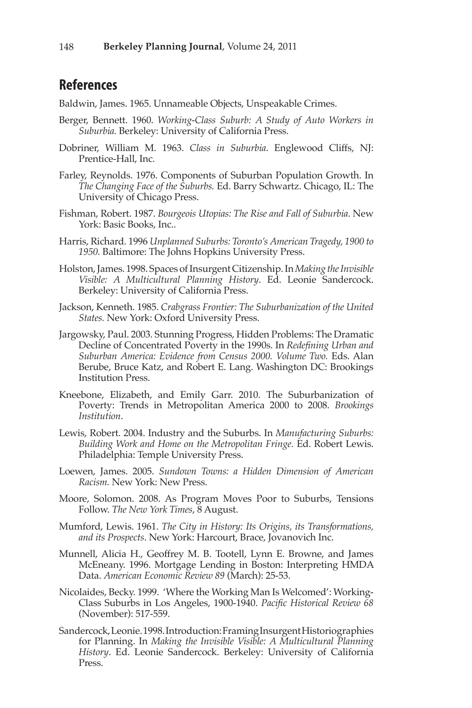#### **References**

Baldwin, James. 1965. Unnameable Objects, Unspeakable Crimes.

- Berger, Bennett. 1960. *Working-Class Suburb: A Study of Auto Workers in Suburbia.* Berkeley: University of California Press.
- Dobriner, William M. 1963. *Class in Suburbia*. Englewood Cliffs, NJ: Prentice-Hall, Inc.
- Farley, Reynolds. 1976. Components of Suburban Population Growth. In *The Changing Face of the Suburbs.* Ed. Barry Schwartz. Chicago, IL: The University of Chicago Press.
- Fishman, Robert. 1987. *Bourgeois Utopias: The Rise and Fall of Suburbia*. New York: Basic Books, Inc..
- Harris, Richard. 1996 *Unplanned Suburbs: Toronto's American Tragedy, 1900 to 1950.* Baltimore: The Johns Hopkins University Press.
- Holston, James. 1998. Spaces of Insurgent Citizenship. In *Making the Invisible Visible: A Multicultural Planning History*. Ed. Leonie Sandercock. Berkeley: University of California Press.
- Jackson, Kenneth. 1985. *Crabgrass Frontier: The Suburbanization of the United States.* New York: Oxford University Press.
- Jargowsky, Paul. 2003. Stunning Progress, Hidden Problems: The Dramatic Decline of Concentrated Poverty in the 1990s. In *Redefining Urban and Suburban America: Evidence from Census 2000. Volume Two.* Eds. Alan Berube, Bruce Katz, and Robert E. Lang. Washington DC: Brookings Institution Press.
- Kneebone, Elizabeth, and Emily Garr. 2010. The Suburbanization of Poverty: Trends in Metropolitan America 2000 to 2008. *Brookings Institution*.
- Lewis, Robert. 2004. Industry and the Suburbs. In *Manufacturing Suburbs: Building Work and Home on the Metropolitan Fringe.* Ed. Robert Lewis. Philadelphia: Temple University Press.
- Loewen, James. 2005. *Sundown Towns: a Hidden Dimension of American Racism.* New York: New Press.
- Moore, Solomon. 2008. As Program Moves Poor to Suburbs, Tensions Follow. *The New York Times*, 8 August.
- Mumford, Lewis. 1961. *The City in History: Its Origins, its Transformations, and its Prospects*. New York: Harcourt, Brace, Jovanovich Inc.
- Munnell, Alicia H., Geoffrey M. B. Tootell, Lynn E. Browne, and James McEneany. 1996. Mortgage Lending in Boston: Interpreting HMDA Data. *American Economic Review 89* (March): 25-53.
- Nicolaides, Becky. 1999. 'Where the Working Man Is Welcomed': Working-Class Suburbs in Los Angeles, 1900-1940. *Pacific Historical Review 68* (November): 517-559.
- Sandercock, Leonie. 1998. Introduction: Framing Insurgent Historiographies for Planning. In *Making the Invisible Visible: A Multicultural Planning History*. Ed. Leonie Sandercock. Berkeley: University of California Press.